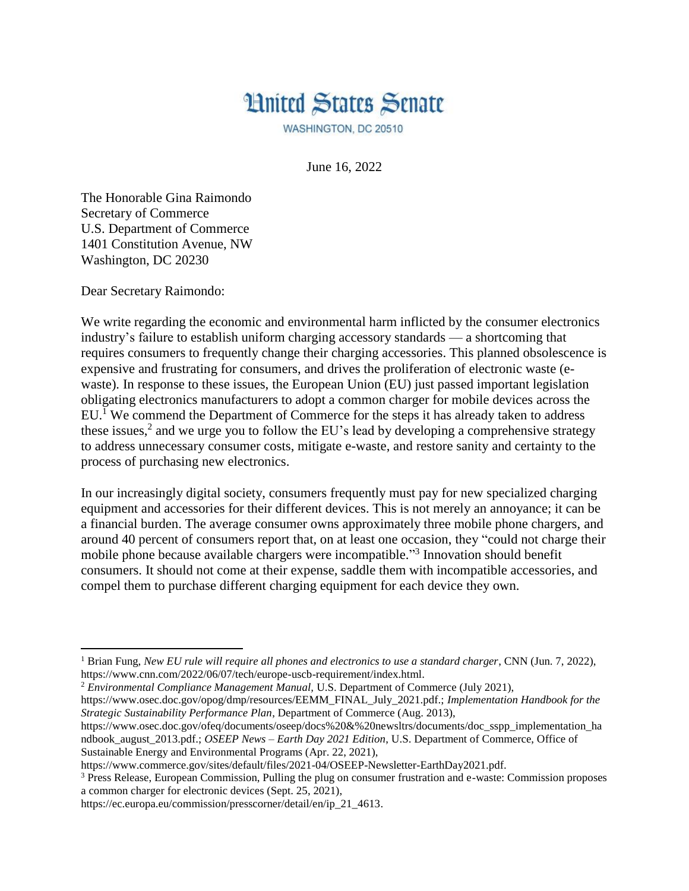## **Hnited States Senate**

WASHINGTON, DC 20510

June 16, 2022

The Honorable Gina Raimondo Secretary of Commerce U.S. Department of Commerce 1401 Constitution Avenue, NW Washington, DC 20230

Dear Secretary Raimondo:

 $\overline{\phantom{a}}$ 

We write regarding the economic and environmental harm inflicted by the consumer electronics industry's failure to establish uniform charging accessory standards — a shortcoming that requires consumers to frequently change their charging accessories. This planned obsolescence is expensive and frustrating for consumers, and drives the proliferation of electronic waste (ewaste). In response to these issues, the European Union (EU) just passed important legislation obligating electronics manufacturers to adopt a common charger for mobile devices across the  $EU<sup>1</sup>$  We commend the Department of Commerce for the steps it has already taken to address these issues,<sup>2</sup> and we urge you to follow the EU's lead by developing a comprehensive strategy to address unnecessary consumer costs, mitigate e-waste, and restore sanity and certainty to the process of purchasing new electronics.

In our increasingly digital society, consumers frequently must pay for new specialized charging equipment and accessories for their different devices. This is not merely an annoyance; it can be a financial burden. The average consumer owns approximately three mobile phone chargers, and around 40 percent of consumers report that, on at least one occasion, they "could not charge their mobile phone because available chargers were incompatible."<sup>3</sup> Innovation should benefit consumers. It should not come at their expense, saddle them with incompatible accessories, and compel them to purchase different charging equipment for each device they own.

<sup>2</sup> *Environmental Compliance Management Manual,* U.S. Department of Commerce (July 2021), https://www.osec.doc.gov/opog/dmp/resources/EEMM\_FINAL\_July\_2021.pdf.; *Implementation Handbook for the Strategic Sustainability Performance Plan*, Department of Commerce (Aug. 2013),

<sup>&</sup>lt;sup>1</sup> Brian Fung, *New EU rule will require all phones and electronics to use a standard charger*, CNN (Jun. 7, 2022), https://www.cnn.com/2022/06/07/tech/europe-uscb-requirement/index.html.

https://www.osec.doc.gov/ofeq/documents/oseep/docs%20&%20newsltrs/documents/doc\_sspp\_implementation\_ha ndbook\_august\_2013.pdf.; *OSEEP News – Earth Day 2021 Edition*, U.S. Department of Commerce, Office of Sustainable Energy and Environmental Programs (Apr. 22, 2021),

https://www.commerce.gov/sites/default/files/2021-04/OSEEP-Newsletter-EarthDay2021.pdf.

<sup>3</sup> Press Release, European Commission, Pulling the plug on consumer frustration and e-waste: Commission proposes a common charger for electronic devices (Sept. 25, 2021),

https://ec.europa.eu/commission/presscorner/detail/en/ip\_21\_4613.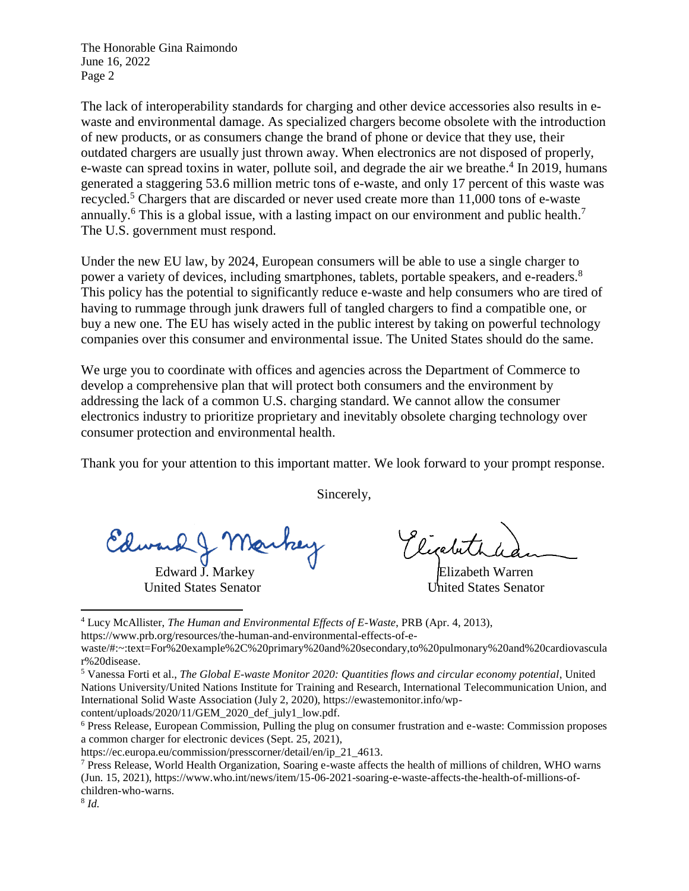The Honorable Gina Raimondo June 16, 2022 Page 2

The lack of interoperability standards for charging and other device accessories also results in ewaste and environmental damage. As specialized chargers become obsolete with the introduction of new products, or as consumers change the brand of phone or device that they use, their outdated chargers are usually just thrown away. When electronics are not disposed of properly, e-waste can spread toxins in water, pollute soil, and degrade the air we breathe.<sup>4</sup> In 2019, humans generated a staggering 53.6 million metric tons of e-waste, and only 17 percent of this waste was recycled.<sup>5</sup> Chargers that are discarded or never used create more than 11,000 tons of e-waste annually.<sup>6</sup> This is a global issue, with a lasting impact on our environment and public health.<sup>7</sup> The U.S. government must respond.

Under the new EU law, by 2024, European consumers will be able to use a single charger to power a variety of devices, including smartphones, tablets, portable speakers, and e-readers.<sup>8</sup> This policy has the potential to significantly reduce e-waste and help consumers who are tired of having to rummage through junk drawers full of tangled chargers to find a compatible one, or buy a new one. The EU has wisely acted in the public interest by taking on powerful technology companies over this consumer and environmental issue. The United States should do the same.

We urge you to coordinate with offices and agencies across the Department of Commerce to develop a comprehensive plan that will protect both consumers and the environment by addressing the lack of a common U.S. charging standard. We cannot allow the consumer electronics industry to prioritize proprietary and inevitably obsolete charging technology over consumer protection and environmental health.

Thank you for your attention to this important matter. We look forward to your prompt response.

Sincerely,

Edward J. Markey

United States Senator United States Senator

 $\overline{\phantom{a}}$ <sup>4</sup> Lucy McAllister, *The Human and Environmental Effects of E-Waste*, PRB (Apr. 4, 2013),

https://www.prb.org/resources/the-human-and-environmental-effects-of-e-

waste/#:~:text=For%20example%2C%20primary%20and%20secondary,to%20pulmonary%20and%20cardiovascula r%20disease.

<sup>5</sup> Vanessa Forti et al., *The Global E-waste Monitor 2020: Quantities flows and circular economy potential*, United Nations University/United Nations Institute for Training and Research, International Telecommunication Union, and International Solid Waste Association (July 2, 2020), https://ewastemonitor.info/wpcontent/uploads/2020/11/GEM\_2020\_def\_july1\_low.pdf.

<sup>6</sup> Press Release, European Commission, Pulling the plug on consumer frustration and e-waste: Commission proposes a common charger for electronic devices (Sept. 25, 2021),

https://ec.europa.eu/commission/presscorner/detail/en/ip\_21\_4613.

<sup>7</sup> Press Release, World Health Organization, Soaring e-waste affects the health of millions of children, WHO warns (Jun. 15, 2021), https://www.who.int/news/item/15-06-2021-soaring-e-waste-affects-the-health-of-millions-ofchildren-who-warns.